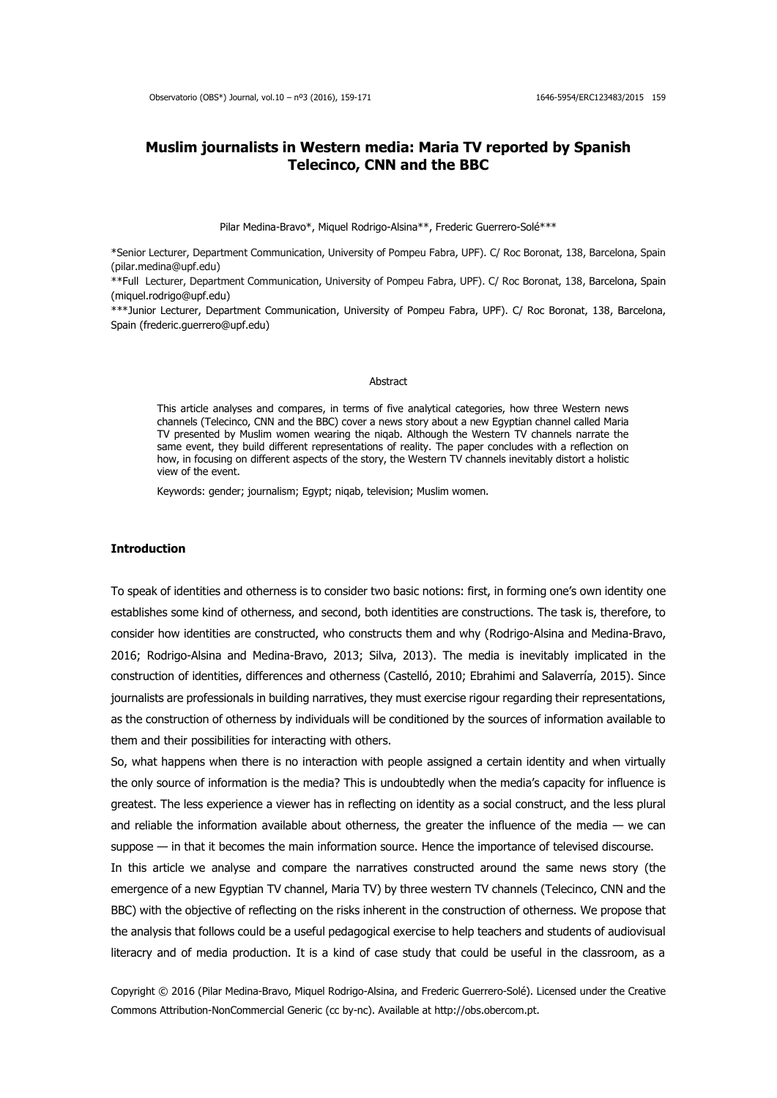# **Muslim journalists in Western media: Maria TV reported by Spanish Telecinco, CNN and the BBC**

Pilar Medina-Bravo\*, Miquel Rodrigo-Alsina\*\*, Frederic Guerrero-Solé\*\*\*

\*Senior Lecturer, Department Communication, University of Pompeu Fabra, UPF). C/ Roc Boronat, 138, Barcelona, Spain (pilar.medina@upf.edu)

\*\*Full Lecturer, Department Communication, University of Pompeu Fabra, UPF). C/ Roc Boronat, 138, Barcelona, Spain (miquel.rodrigo@upf.edu)

\*\*\*Junior Lecturer, Department Communication, University of Pompeu Fabra, UPF). C/ Roc Boronat, 138, Barcelona, Spain (frederic.guerrero@upf.edu)

### Abstract

This article analyses and compares, in terms of five analytical categories, how three Western news channels (Telecinco, CNN and the BBC) cover a news story about a new Egyptian channel called Maria TV presented by Muslim women wearing the niqab. Although the Western TV channels narrate the same event, they build different representations of reality. The paper concludes with a reflection on how, in focusing on different aspects of the story, the Western TV channels inevitably distort a holistic view of the event.

Keywords: gender; journalism; Egypt; niqab, television; Muslim women.

# **Introduction**

To speak of identities and otherness is to consider two basic notions: first, in forming one's own identity one establishes some kind of otherness, and second, both identities are constructions. The task is, therefore, to consider how identities are constructed, who constructs them and why (Rodrigo-Alsina and Medina-Bravo, 2016; Rodrigo-Alsina and Medina-Bravo, 2013; Silva, 2013). The media is inevitably implicated in the construction of identities, differences and otherness (Castelló, 2010; Ebrahimi and Salaverría, 2015). Since journalists are professionals in building narratives, they must exercise rigour regarding their representations, as the construction of otherness by individuals will be conditioned by the sources of information available to them and their possibilities for interacting with others.

So, what happens when there is no interaction with people assigned a certain identity and when virtually the only source of information is the media? This is undoubtedly when the media's capacity for influence is greatest. The less experience a viewer has in reflecting on identity as a social construct, and the less plural and reliable the information available about otherness, the greater the influence of the media  $-$  we can suppose — in that it becomes the main information source. Hence the importance of televised discourse.

In this article we analyse and compare the narratives constructed around the same news story (the emergence of a new Egyptian TV channel, Maria TV) by three western TV channels (Telecinco, CNN and the BBC) with the objective of reflecting on the risks inherent in the construction of otherness. We propose that the analysis that follows could be a useful pedagogical exercise to help teachers and students of audiovisual literacry and of media production. It is a kind of case study that could be useful in the classroom, as a

Copyright © 2016 (Pilar Medina-Bravo, Miquel Rodrigo-Alsina, and Frederic Guerrero-Solé). Licensed under the Creative Commons Attribution-NonCommercial Generic (cc by-nc). Available at http://obs.obercom.pt.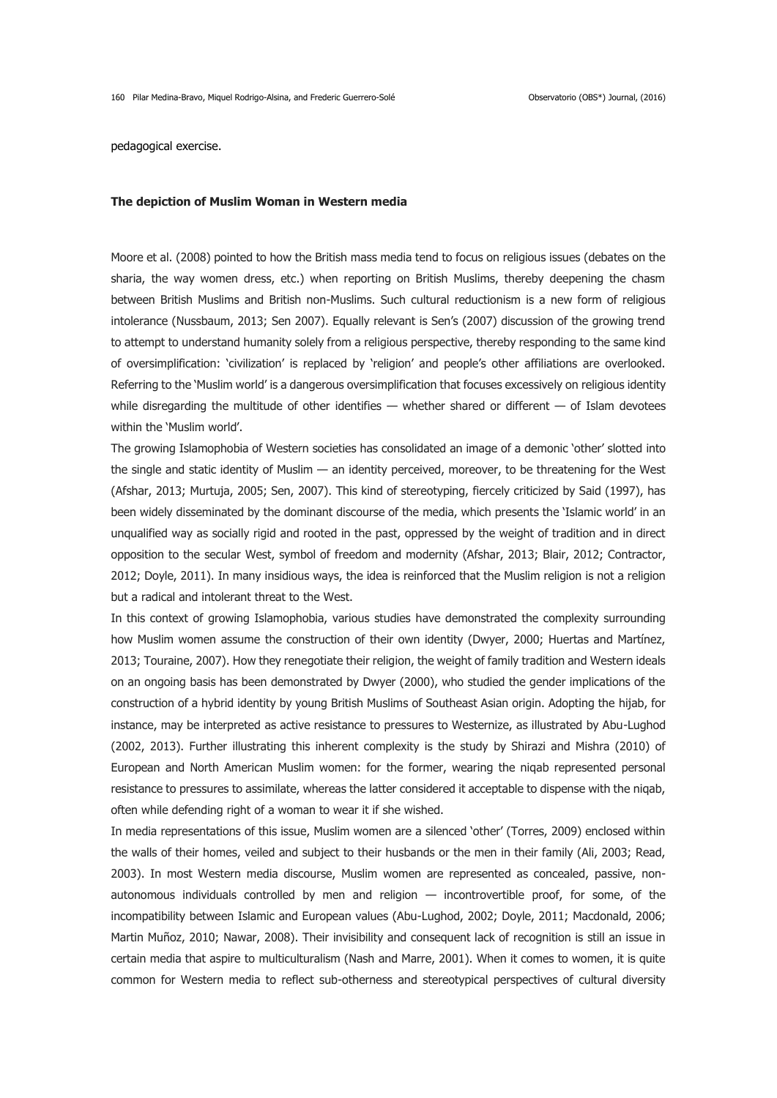pedagogical exercise.

#### **The depiction of Muslim Woman in Western media**

Moore et al. (2008) pointed to how the British mass media tend to focus on religious issues (debates on the sharia, the way women dress, etc.) when reporting on British Muslims, thereby deepening the chasm between British Muslims and British non-Muslims. Such cultural reductionism is a new form of religious intolerance (Nussbaum, 2013; Sen 2007). Equally relevant is Sen's (2007) discussion of the growing trend to attempt to understand humanity solely from a religious perspective, thereby responding to the same kind of oversimplification: 'civilization' is replaced by 'religion' and people's other affiliations are overlooked. Referring to the 'Muslim world' is a dangerous oversimplification that focuses excessively on religious identity while disregarding the multitude of other identifies  $-$  whether shared or different  $-$  of Islam devotees within the 'Muslim world'.

The growing Islamophobia of Western societies has consolidated an image of a demonic 'other' slotted into the single and static identity of Muslim — an identity perceived, moreover, to be threatening for the West (Afshar, 2013; Murtuja, 2005; Sen, 2007). This kind of stereotyping, fiercely criticized by Said (1997), has been widely disseminated by the dominant discourse of the media, which presents the 'Islamic world' in an unqualified way as socially rigid and rooted in the past, oppressed by the weight of tradition and in direct opposition to the secular West, symbol of freedom and modernity (Afshar, 2013; Blair, 2012; Contractor, 2012; Doyle, 2011). In many insidious ways, the idea is reinforced that the Muslim religion is not a religion but a radical and intolerant threat to the West.

In this context of growing Islamophobia, various studies have demonstrated the complexity surrounding how Muslim women assume the construction of their own identity (Dwyer, 2000; Huertas and Martínez, 2013; Touraine, 2007). How they renegotiate their religion, the weight of family tradition and Western ideals on an ongoing basis has been demonstrated by Dwyer (2000), who studied the gender implications of the construction of a hybrid identity by young British Muslims of Southeast Asian origin. Adopting the hijab, for instance, may be interpreted as active resistance to pressures to Westernize, as illustrated by Abu-Lughod (2002, 2013). Further illustrating this inherent complexity is the study by Shirazi and Mishra (2010) of European and North American Muslim women: for the former, wearing the niqab represented personal resistance to pressures to assimilate, whereas the latter considered it acceptable to dispense with the niqab, often while defending right of a woman to wear it if she wished.

In media representations of this issue, Muslim women are a silenced 'other' (Torres, 2009) enclosed within the walls of their homes, veiled and subject to their husbands or the men in their family (Ali, 2003; Read, 2003). In most Western media discourse, Muslim women are represented as concealed, passive, nonautonomous individuals controlled by men and religion — incontrovertible proof, for some, of the incompatibility between Islamic and European values (Abu-Lughod, 2002; Doyle, 2011; Macdonald, 2006; Martin Muñoz, 2010; Nawar, 2008). Their invisibility and consequent lack of recognition is still an issue in certain media that aspire to multiculturalism (Nash and Marre, 2001). When it comes to women, it is quite common for Western media to reflect sub-otherness and stereotypical perspectives of cultural diversity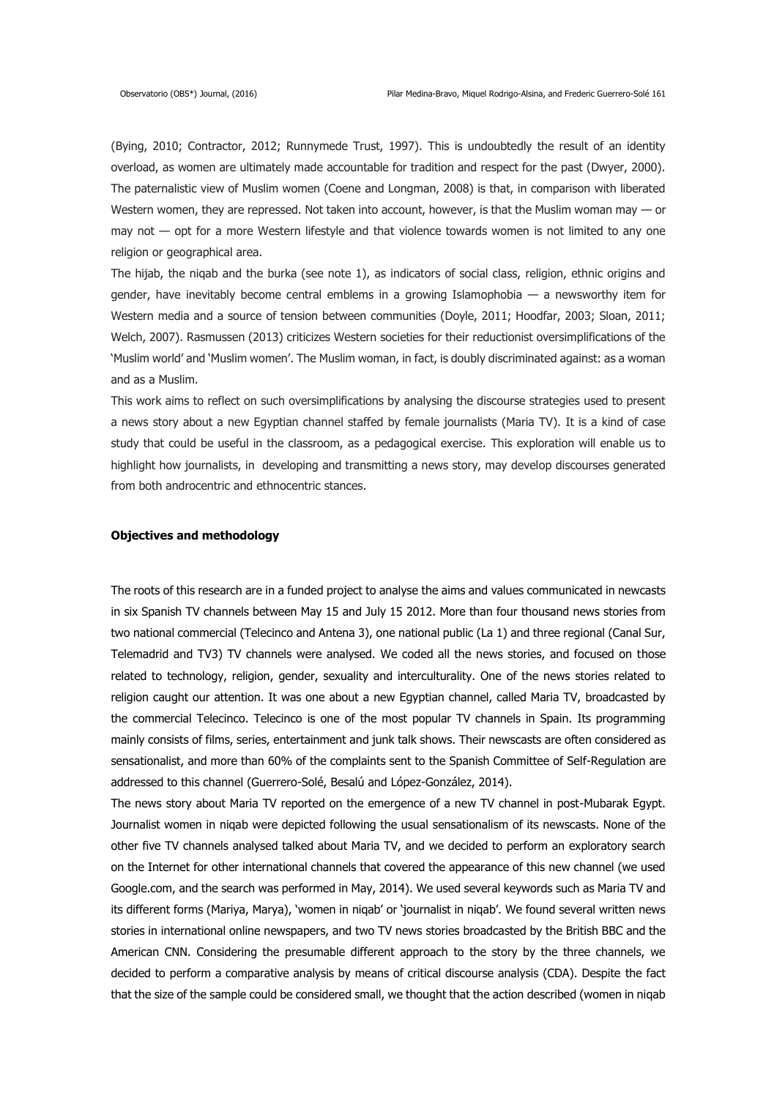(Bying, 2010; Contractor, 2012; Runnymede Trust, 1997). This is undoubtedly the result of an identity overload, as women are ultimately made accountable for tradition and respect for the past (Dwyer, 2000). The paternalistic view of Muslim women (Coene and Longman, 2008) is that, in comparison with liberated Western women, they are repressed. Not taken into account, however, is that the Muslim woman may — or may not — opt for a more Western lifestyle and that violence towards women is not limited to any one religion or geographical area.

The hijab, the niqab and the burka (see note 1), as indicators of social class, religion, ethnic origins and gender, have inevitably become central emblems in a growing Islamophobia — a newsworthy item for Western media and a source of tension between communities (Doyle, 2011; Hoodfar, 2003; Sloan, 2011; Welch, 2007). Rasmussen (2013) criticizes Western societies for their reductionist oversimplifications of the 'Muslim world' and 'Muslim women'. The Muslim woman, in fact, is doubly discriminated against: as a woman and as a Muslim.

This work aims to reflect on such oversimplifications by analysing the discourse strategies used to present a news story about a new Egyptian channel staffed by female journalists (Maria TV). It is a kind of case study that could be useful in the classroom, as a pedagogical exercise. This exploration will enable us to highlight how journalists, in developing and transmitting a news story, may develop discourses generated from both androcentric and ethnocentric stances.

# **Objectives and methodology**

The roots of this research are in a funded project to analyse the aims and values communicated in newcasts in six Spanish TV channels between May 15 and July 15 2012. More than four thousand news stories from two national commercial (Telecinco and Antena 3), one national public (La 1) and three regional (Canal Sur, Telemadrid and TV3) TV channels were analysed. We coded all the news stories, and focused on those related to technology, religion, gender, sexuality and interculturality. One of the news stories related to religion caught our attention. It was one about a new Egyptian channel, called Maria TV, broadcasted by the commercial Telecinco. Telecinco is one of the most popular TV channels in Spain. Its programming mainly consists of films, series, entertainment and junk talk shows. Their newscasts are often considered as sensationalist, and more than 60% of the complaints sent to the Spanish Committee of Self-Regulation are addressed to this channel (Guerrero-Solé, Besalú and López-González, 2014).

The news story about Maria TV reported on the emergence of a new TV channel in post-Mubarak Egypt. Journalist women in niqab were depicted following the usual sensationalism of its newscasts. None of the other five TV channels analysed talked about Maria TV, and we decided to perform an exploratory search on the Internet for other international channels that covered the appearance of this new channel (we used Google.com, and the search was performed in May, 2014). We used several keywords such as Maria TV and its different forms (Mariya, Marya), 'women in niqab' or 'journalist in niqab'. We found several written news stories in international online newspapers, and two TV news stories broadcasted by the British BBC and the American CNN. Considering the presumable different approach to the story by the three channels, we decided to perform a comparative analysis by means of critical discourse analysis (CDA). Despite the fact that the size of the sample could be considered small, we thought that the action described (women in niqab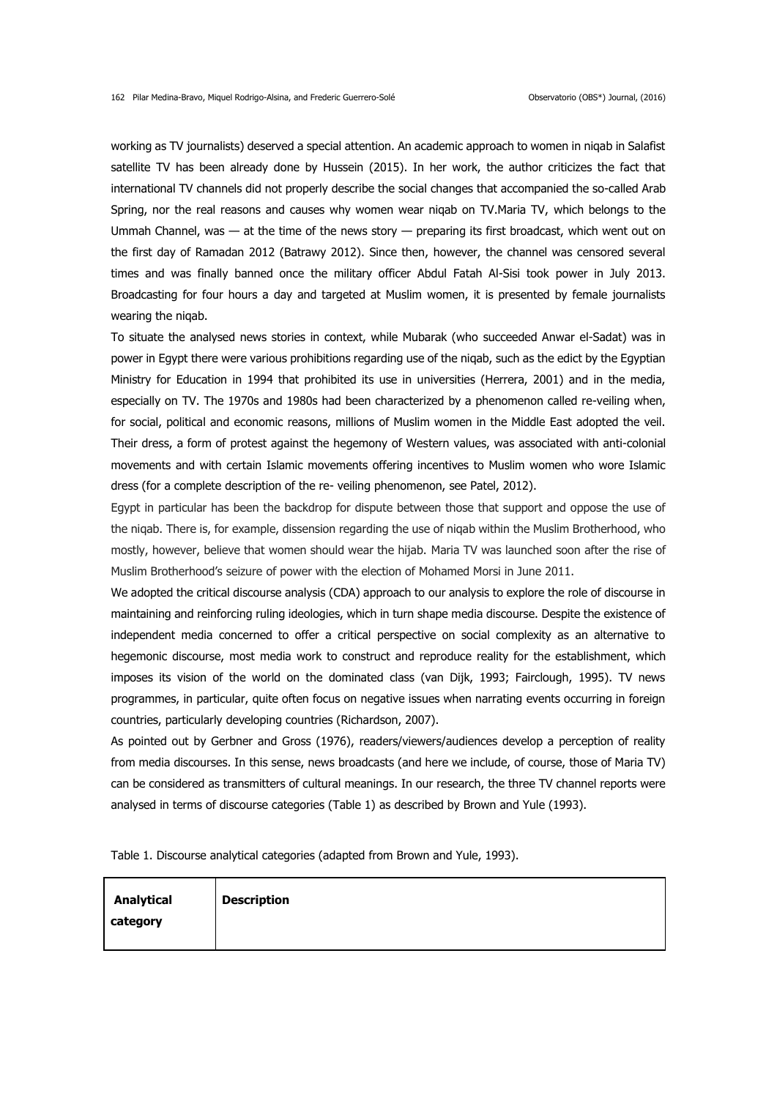working as TV journalists) deserved a special attention. An academic approach to women in niqab in Salafist satellite TV has been already done by Hussein (2015). In her work, the author criticizes the fact that international TV channels did not properly describe the social changes that accompanied the so-called Arab Spring, nor the real reasons and causes why women wear niqab on TV.Maria TV, which belongs to the Ummah Channel, was — at the time of the news story — preparing its first broadcast, which went out on the first day of Ramadan 2012 (Batrawy 2012). Since then, however, the channel was censored several times and was finally banned once the military officer Abdul Fatah Al-Sisi took power in July 2013. Broadcasting for four hours a day and targeted at Muslim women, it is presented by female journalists wearing the niqab.

To situate the analysed news stories in context, while Mubarak (who succeeded Anwar el-Sadat) was in power in Egypt there were various prohibitions regarding use of the niqab, such as the edict by the Egyptian Ministry for Education in 1994 that prohibited its use in universities (Herrera, 2001) and in the media, especially on TV. The 1970s and 1980s had been characterized by a phenomenon called re-veiling when, for social, political and economic reasons, millions of Muslim women in the Middle East adopted the veil. Their dress, a form of protest against the hegemony of Western values, was associated with anti-colonial movements and with certain Islamic movements offering incentives to Muslim women who wore Islamic dress (for a complete description of the re- veiling phenomenon, see Patel, 2012).

Egypt in particular has been the backdrop for dispute between those that support and oppose the use of the niqab. There is, for example, dissension regarding the use of niqab within the Muslim Brotherhood, who mostly, however, believe that women should wear the hijab. Maria TV was launched soon after the rise of Muslim Brotherhood's seizure of power with the election of Mohamed Morsi in June 2011.

We adopted the critical discourse analysis (CDA) approach to our analysis to explore the role of discourse in maintaining and reinforcing ruling ideologies, which in turn shape media discourse. Despite the existence of independent media concerned to offer a critical perspective on social complexity as an alternative to hegemonic discourse, most media work to construct and reproduce reality for the establishment, which imposes its vision of the world on the dominated class (van Dijk, 1993; Fairclough, 1995). TV news programmes, in particular, quite often focus on negative issues when narrating events occurring in foreign countries, particularly developing countries (Richardson, 2007).

As pointed out by Gerbner and Gross (1976), readers/viewers/audiences develop a perception of reality from media discourses. In this sense, news broadcasts (and here we include, of course, those of Maria TV) can be considered as transmitters of cultural meanings. In our research, the three TV channel reports were analysed in terms of discourse categories (Table 1) as described by Brown and Yule (1993).

Table 1. Discourse analytical categories (adapted from Brown and Yule, 1993).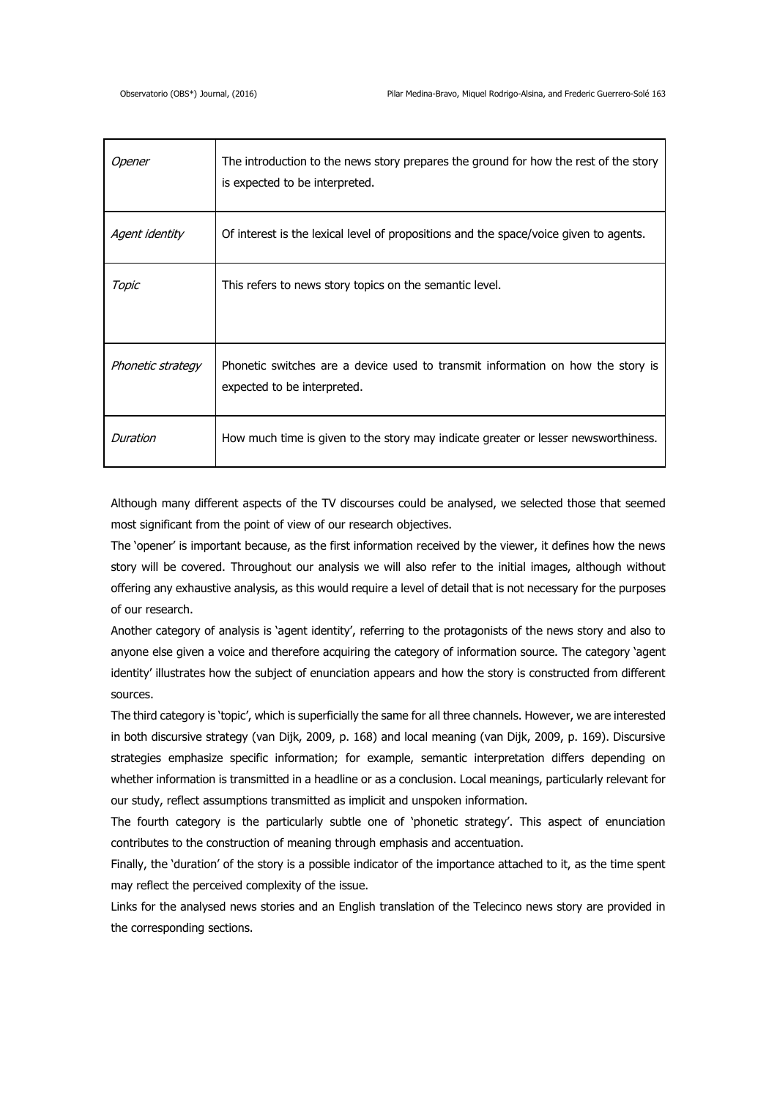| Opener            | The introduction to the news story prepares the ground for how the rest of the story<br>is expected to be interpreted. |
|-------------------|------------------------------------------------------------------------------------------------------------------------|
| Agent identity    | Of interest is the lexical level of propositions and the space/voice given to agents.                                  |
| Topic             | This refers to news story topics on the semantic level.                                                                |
| Phonetic strategy | Phonetic switches are a device used to transmit information on how the story is<br>expected to be interpreted.         |
| Duration          | How much time is given to the story may indicate greater or lesser newsworthiness.                                     |

Although many different aspects of the TV discourses could be analysed, we selected those that seemed most significant from the point of view of our research objectives.

The 'opener' is important because, as the first information received by the viewer, it defines how the news story will be covered. Throughout our analysis we will also refer to the initial images, although without offering any exhaustive analysis, as this would require a level of detail that is not necessary for the purposes of our research.

Another category of analysis is 'agent identity', referring to the protagonists of the news story and also to anyone else given a voice and therefore acquiring the category of information source. The category 'agent identity' illustrates how the subject of enunciation appears and how the story is constructed from different sources.

The third category is 'topic', which is superficially the same for all three channels. However, we are interested in both discursive strategy (van Dijk, 2009, p. 168) and local meaning (van Dijk, 2009, p. 169). Discursive strategies emphasize specific information; for example, semantic interpretation differs depending on whether information is transmitted in a headline or as a conclusion. Local meanings, particularly relevant for our study, reflect assumptions transmitted as implicit and unspoken information.

The fourth category is the particularly subtle one of 'phonetic strategy'. This aspect of enunciation contributes to the construction of meaning through emphasis and accentuation.

Finally, the 'duration' of the story is a possible indicator of the importance attached to it, as the time spent may reflect the perceived complexity of the issue.

Links for the analysed news stories and an English translation of the Telecinco news story are provided in the corresponding sections.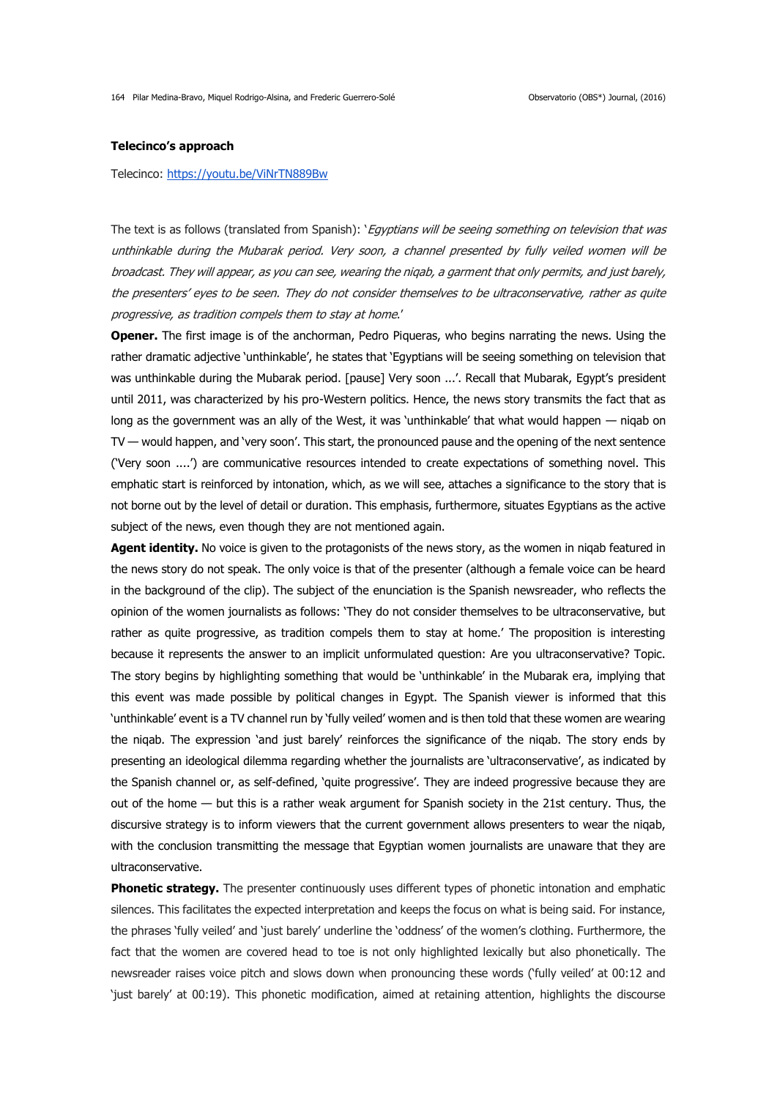# **Telecinco's approach**

Telecinco:<https://youtu.be/ViNrTN889Bw>

The text is as follows (translated from Spanish): 'Egyptians will be seeing something on television that was unthinkable during the Mubarak period. Very soon, a channel presented by fully veiled women will be broadcast. They will appear, as you can see, wearing the niqab, a garment that only permits, and just barely, the presenters' eyes to be seen. They do not consider themselves to be ultraconservative, rather as quite progressive, as tradition compels them to stay at home.'

**Opener.** The first image is of the anchorman, Pedro Piqueras, who begins narrating the news. Using the rather dramatic adjective 'unthinkable', he states that 'Egyptians will be seeing something on television that was unthinkable during the Mubarak period. [pause] Very soon ...'. Recall that Mubarak, Egypt's president until 2011, was characterized by his pro-Western politics. Hence, the news story transmits the fact that as long as the government was an ally of the West, it was 'unthinkable' that what would happen — niqab on TV — would happen, and 'very soon'. This start, the pronounced pause and the opening of the next sentence ('Very soon ....') are communicative resources intended to create expectations of something novel. This emphatic start is reinforced by intonation, which, as we will see, attaches a significance to the story that is not borne out by the level of detail or duration. This emphasis, furthermore, situates Egyptians as the active subject of the news, even though they are not mentioned again.

Agent identity. No voice is given to the protagonists of the news story, as the women in niqab featured in the news story do not speak. The only voice is that of the presenter (although a female voice can be heard in the background of the clip). The subject of the enunciation is the Spanish newsreader, who reflects the opinion of the women journalists as follows: 'They do not consider themselves to be ultraconservative, but rather as quite progressive, as tradition compels them to stay at home.' The proposition is interesting because it represents the answer to an implicit unformulated question: Are you ultraconservative? Topic. The story begins by highlighting something that would be 'unthinkable' in the Mubarak era, implying that this event was made possible by political changes in Egypt. The Spanish viewer is informed that this 'unthinkable' event is a TV channel run by 'fully veiled' women and is then told that these women are wearing the niqab. The expression 'and just barely' reinforces the significance of the niqab. The story ends by presenting an ideological dilemma regarding whether the journalists are 'ultraconservative', as indicated by the Spanish channel or, as self-defined, 'quite progressive'. They are indeed progressive because they are out of the home — but this is a rather weak argument for Spanish society in the 21st century. Thus, the discursive strategy is to inform viewers that the current government allows presenters to wear the niqab, with the conclusion transmitting the message that Egyptian women journalists are unaware that they are ultraconservative.

**Phonetic strategy.** The presenter continuously uses different types of phonetic intonation and emphatic silences. This facilitates the expected interpretation and keeps the focus on what is being said. For instance, the phrases 'fully veiled' and 'just barely' underline the 'oddness' of the women's clothing. Furthermore, the fact that the women are covered head to toe is not only highlighted lexically but also phonetically. The newsreader raises voice pitch and slows down when pronouncing these words ('fully veiled' at 00:12 and 'just barely' at 00:19). This phonetic modification, aimed at retaining attention, highlights the discourse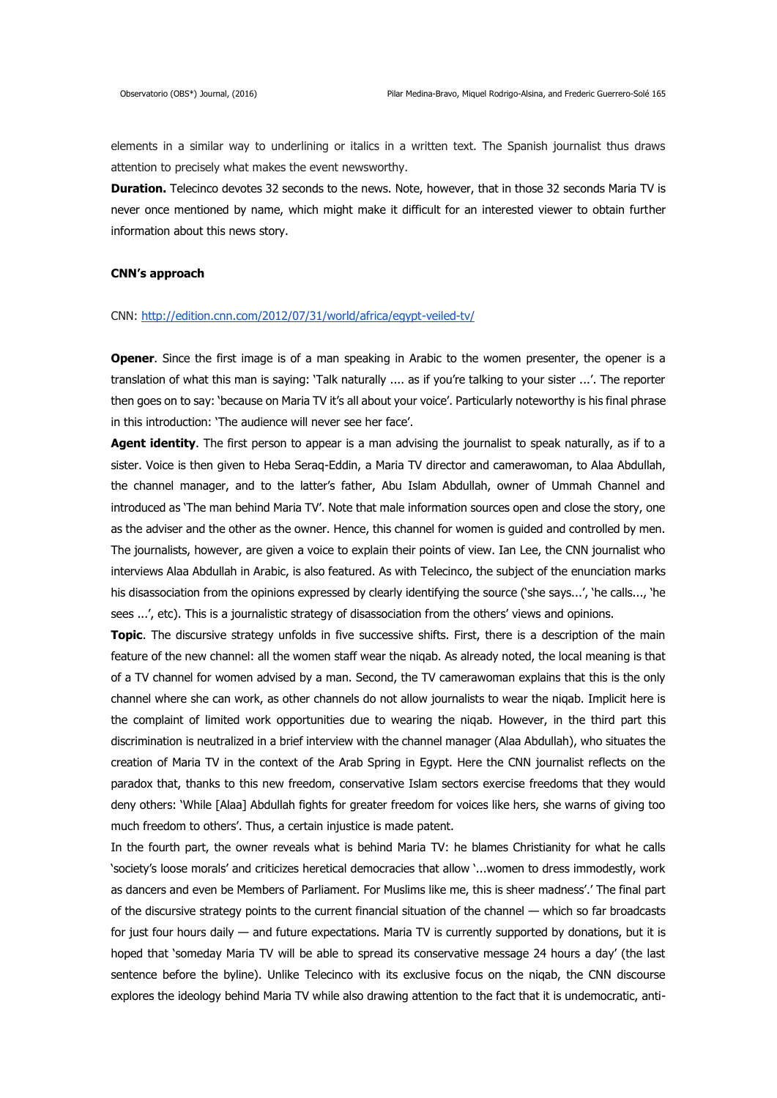elements in a similar way to underlining or italics in a written text. The Spanish journalist thus draws attention to precisely what makes the event newsworthy.

**Duration.** Telecinco devotes 32 seconds to the news. Note, however, that in those 32 seconds Maria TV is never once mentioned by name, which might make it difficult for an interested viewer to obtain further information about this news story.

#### **CNN's approach**

# CNN:<http://edition.cnn.com/2012/07/31/world/africa/egypt-veiled-tv/>

**Opener**. Since the first image is of a man speaking in Arabic to the women presenter, the opener is a translation of what this man is saying: 'Talk naturally .... as if you're talking to your sister ...'. The reporter then goes on to say: 'because on Maria TV it's all about your voice'. Particularly noteworthy is his final phrase in this introduction: 'The audience will never see her face'.

**Agent identity**. The first person to appear is a man advising the journalist to speak naturally, as if to a sister. Voice is then given to Heba Seraq-Eddin, a Maria TV director and camerawoman, to Alaa Abdullah, the channel manager, and to the latter's father, Abu Islam Abdullah, owner of Ummah Channel and introduced as 'The man behind Maria TV'. Note that male information sources open and close the story, one as the adviser and the other as the owner. Hence, this channel for women is guided and controlled by men. The journalists, however, are given a voice to explain their points of view. Ian Lee, the CNN journalist who interviews Alaa Abdullah in Arabic, is also featured. As with Telecinco, the subject of the enunciation marks his disassociation from the opinions expressed by clearly identifying the source ('she says...', 'he calls..., 'he sees ...', etc). This is a journalistic strategy of disassociation from the others' views and opinions.

**Topic**. The discursive strategy unfolds in five successive shifts. First, there is a description of the main feature of the new channel: all the women staff wear the niqab. As already noted, the local meaning is that of a TV channel for women advised by a man. Second, the TV camerawoman explains that this is the only channel where she can work, as other channels do not allow journalists to wear the niqab. Implicit here is the complaint of limited work opportunities due to wearing the niqab. However, in the third part this discrimination is neutralized in a brief interview with the channel manager (Alaa Abdullah), who situates the creation of Maria TV in the context of the Arab Spring in Egypt. Here the CNN journalist reflects on the paradox that, thanks to this new freedom, conservative Islam sectors exercise freedoms that they would deny others: 'While [Alaa] Abdullah fights for greater freedom for voices like hers, she warns of giving too much freedom to others'. Thus, a certain injustice is made patent.

In the fourth part, the owner reveals what is behind Maria TV: he blames Christianity for what he calls 'society's loose morals' and criticizes heretical democracies that allow '...women to dress immodestly, work as dancers and even be Members of Parliament. For Muslims like me, this is sheer madness'.' The final part of the discursive strategy points to the current financial situation of the channel — which so far broadcasts for just four hours daily — and future expectations. Maria TV is currently supported by donations, but it is hoped that 'someday Maria TV will be able to spread its conservative message 24 hours a day' (the last sentence before the byline). Unlike Telecinco with its exclusive focus on the niqab, the CNN discourse explores the ideology behind Maria TV while also drawing attention to the fact that it is undemocratic, anti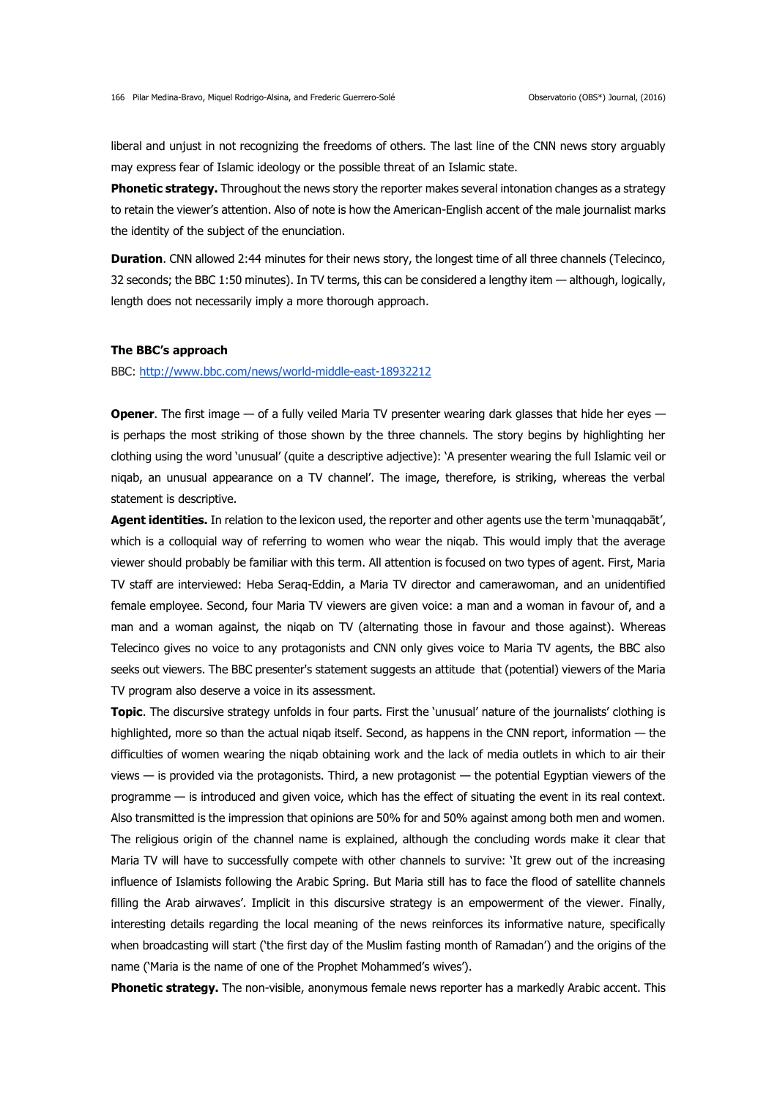liberal and unjust in not recognizing the freedoms of others. The last line of the CNN news story arguably may express fear of Islamic ideology or the possible threat of an Islamic state.

**Phonetic strategy.** Throughout the news story the reporter makes several intonation changes as a strategy to retain the viewer's attention. Also of note is how the American-English accent of the male journalist marks the identity of the subject of the enunciation.

**Duration**. CNN allowed 2:44 minutes for their news story, the longest time of all three channels (Telecinco, 32 seconds; the BBC 1:50 minutes). In TV terms, this can be considered a lengthy item — although, logically, length does not necessarily imply a more thorough approach.

# **The BBC's approach**

BBC:<http://www.bbc.com/news/world-middle-east-18932212>

**Opener**. The first image — of a fully veiled Maria TV presenter wearing dark glasses that hide her eyes is perhaps the most striking of those shown by the three channels. The story begins by highlighting her clothing using the word 'unusual' (quite a descriptive adjective): 'A presenter wearing the full Islamic veil or niqab, an unusual appearance on a TV channel'. The image, therefore, is striking, whereas the verbal statement is descriptive.

**Agent identities.** In relation to the lexicon used, the reporter and other agents use the term 'munaqqabāt', which is a colloquial way of referring to women who wear the niqab. This would imply that the average viewer should probably be familiar with this term. All attention is focused on two types of agent. First, Maria TV staff are interviewed: Heba Seraq-Eddin, a Maria TV director and camerawoman, and an unidentified female employee. Second, four Maria TV viewers are given voice: a man and a woman in favour of, and a man and a woman against, the niqab on TV (alternating those in favour and those against). Whereas Telecinco gives no voice to any protagonists and CNN only gives voice to Maria TV agents, the BBC also seeks out viewers. The BBC presenter's statement suggests an attitude that (potential) viewers of the Maria TV program also deserve a voice in its assessment.

**Topic**. The discursive strategy unfolds in four parts. First the 'unusual' nature of the journalists' clothing is highlighted, more so than the actual niqab itself. Second, as happens in the CNN report, information — the difficulties of women wearing the niqab obtaining work and the lack of media outlets in which to air their views — is provided via the protagonists. Third, a new protagonist — the potential Egyptian viewers of the programme — is introduced and given voice, which has the effect of situating the event in its real context. Also transmitted is the impression that opinions are 50% for and 50% against among both men and women. The religious origin of the channel name is explained, although the concluding words make it clear that Maria TV will have to successfully compete with other channels to survive: 'It grew out of the increasing influence of Islamists following the Arabic Spring. But Maria still has to face the flood of satellite channels filling the Arab airwaves'. Implicit in this discursive strategy is an empowerment of the viewer. Finally, interesting details regarding the local meaning of the news reinforces its informative nature, specifically when broadcasting will start ('the first day of the Muslim fasting month of Ramadan') and the origins of the name ('Maria is the name of one of the Prophet Mohammed's wives').

**Phonetic strategy.** The non-visible, anonymous female news reporter has a markedly Arabic accent. This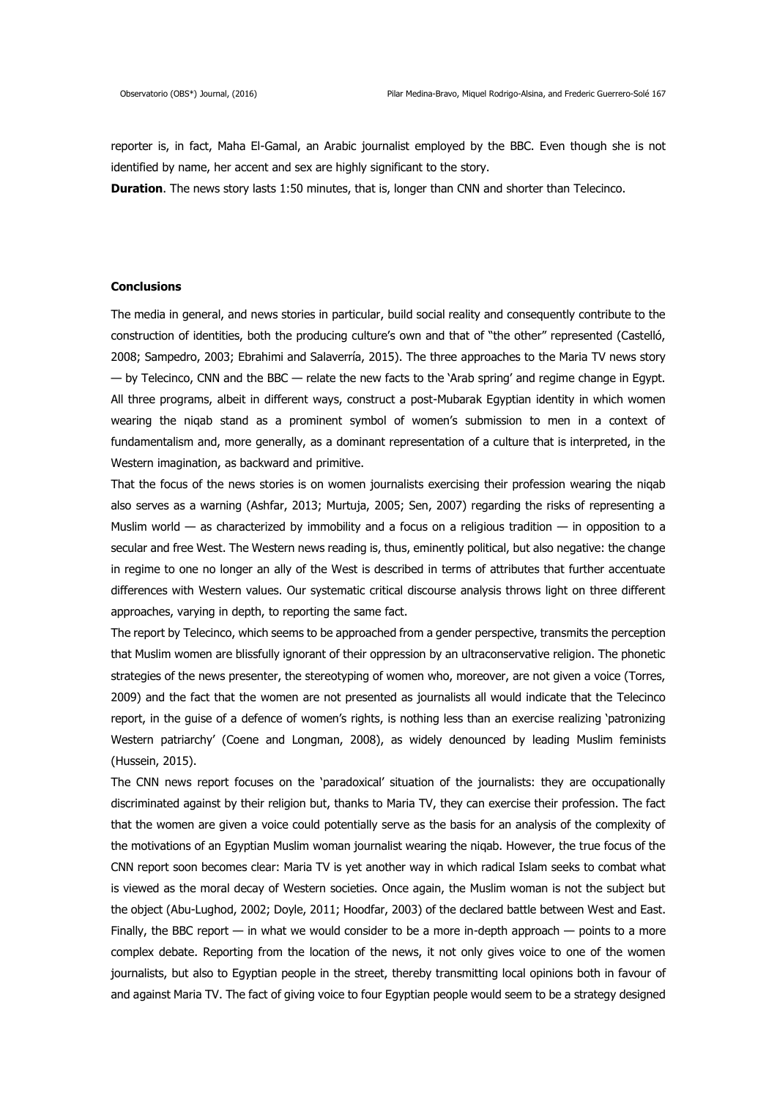reporter is, in fact, Maha El-Gamal, an Arabic journalist employed by the BBC. Even though she is not identified by name, her accent and sex are highly significant to the story.

**Duration**. The news story lasts 1:50 minutes, that is, longer than CNN and shorter than Telecinco.

# **Conclusions**

The media in general, and news stories in particular, build social reality and consequently contribute to the construction of identities, both the producing culture's own and that of "the other" represented (Castelló, 2008; Sampedro, 2003; Ebrahimi and Salaverría, 2015). The three approaches to the Maria TV news story — by Telecinco, CNN and the BBC — relate the new facts to the 'Arab spring' and regime change in Egypt. All three programs, albeit in different ways, construct a post-Mubarak Egyptian identity in which women wearing the niqab stand as a prominent symbol of women's submission to men in a context of fundamentalism and, more generally, as a dominant representation of a culture that is interpreted, in the Western imagination, as backward and primitive.

That the focus of the news stories is on women journalists exercising their profession wearing the niqab also serves as a warning (Ashfar, 2013; Murtuja, 2005; Sen, 2007) regarding the risks of representing a Muslim world — as characterized by immobility and a focus on a religious tradition — in opposition to a secular and free West. The Western news reading is, thus, eminently political, but also negative: the change in regime to one no longer an ally of the West is described in terms of attributes that further accentuate differences with Western values. Our systematic critical discourse analysis throws light on three different approaches, varying in depth, to reporting the same fact.

The report by Telecinco, which seems to be approached from a gender perspective, transmits the perception that Muslim women are blissfully ignorant of their oppression by an ultraconservative religion. The phonetic strategies of the news presenter, the stereotyping of women who, moreover, are not given a voice (Torres, 2009) and the fact that the women are not presented as journalists all would indicate that the Telecinco report, in the guise of a defence of women's rights, is nothing less than an exercise realizing 'patronizing Western patriarchy' (Coene and Longman, 2008), as widely denounced by leading Muslim feminists (Hussein, 2015).

The CNN news report focuses on the 'paradoxical' situation of the journalists: they are occupationally discriminated against by their religion but, thanks to Maria TV, they can exercise their profession. The fact that the women are given a voice could potentially serve as the basis for an analysis of the complexity of the motivations of an Egyptian Muslim woman journalist wearing the niqab. However, the true focus of the CNN report soon becomes clear: Maria TV is yet another way in which radical Islam seeks to combat what is viewed as the moral decay of Western societies. Once again, the Muslim woman is not the subject but the object (Abu-Lughod, 2002; Doyle, 2011; Hoodfar, 2003) of the declared battle between West and East. Finally, the BBC report — in what we would consider to be a more in-depth approach — points to a more complex debate. Reporting from the location of the news, it not only gives voice to one of the women journalists, but also to Egyptian people in the street, thereby transmitting local opinions both in favour of and against Maria TV. The fact of giving voice to four Egyptian people would seem to be a strategy designed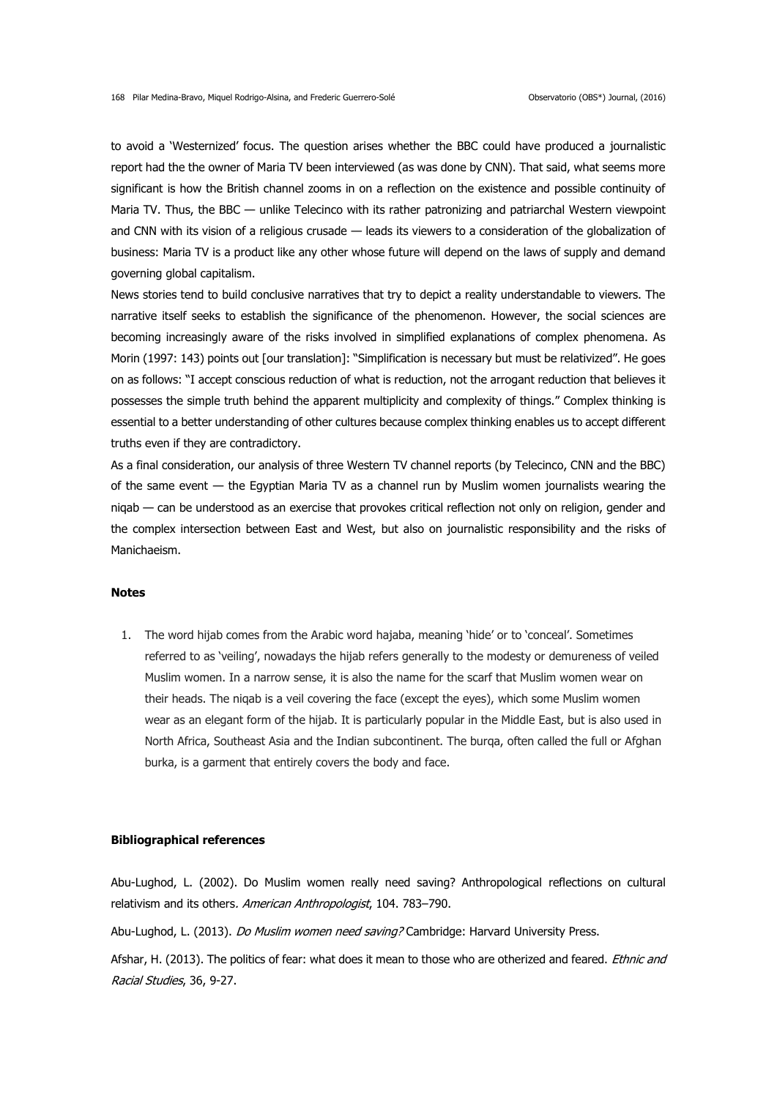to avoid a 'Westernized' focus. The question arises whether the BBC could have produced a journalistic report had the the owner of Maria TV been interviewed (as was done by CNN). That said, what seems more significant is how the British channel zooms in on a reflection on the existence and possible continuity of Maria TV. Thus, the BBC — unlike Telecinco with its rather patronizing and patriarchal Western viewpoint and CNN with its vision of a religious crusade — leads its viewers to a consideration of the globalization of business: Maria TV is a product like any other whose future will depend on the laws of supply and demand governing global capitalism.

News stories tend to build conclusive narratives that try to depict a reality understandable to viewers. The narrative itself seeks to establish the significance of the phenomenon. However, the social sciences are becoming increasingly aware of the risks involved in simplified explanations of complex phenomena. As Morin (1997: 143) points out [our translation]: "Simplification is necessary but must be relativized". He goes on as follows: "I accept conscious reduction of what is reduction, not the arrogant reduction that believes it possesses the simple truth behind the apparent multiplicity and complexity of things." Complex thinking is essential to a better understanding of other cultures because complex thinking enables us to accept different truths even if they are contradictory.

As a final consideration, our analysis of three Western TV channel reports (by Telecinco, CNN and the BBC) of the same event — the Egyptian Maria TV as a channel run by Muslim women journalists wearing the niqab — can be understood as an exercise that provokes critical reflection not only on religion, gender and the complex intersection between East and West, but also on journalistic responsibility and the risks of Manichaeism.

# **Notes**

1. The word hijab comes from the Arabic word hajaba, meaning 'hide' or to 'conceal'. Sometimes referred to as 'veiling', nowadays the hijab refers generally to the modesty or demureness of veiled Muslim women. In a narrow sense, it is also the name for the scarf that Muslim women wear on their heads. The niqab is a veil covering the face (except the eyes), which some Muslim women wear as an elegant form of the hijab. It is particularly popular in the Middle East, but is also used in North Africa, Southeast Asia and the Indian subcontinent. The burqa, often called the full or Afghan burka, is a garment that entirely covers the body and face.

#### **Bibliographical references**

Abu-Lughod, L. (2002). Do Muslim women really need saving? Anthropological reflections on cultural relativism and its others. American Anthropologist, 104. 783-790.

Abu-Lughod, L. (2013). Do Muslim women need saving? Cambridge: Harvard University Press.

Afshar, H. (2013). The politics of fear: what does it mean to those who are otherized and feared. *Ethnic and* Racial Studies, 36, 9-27.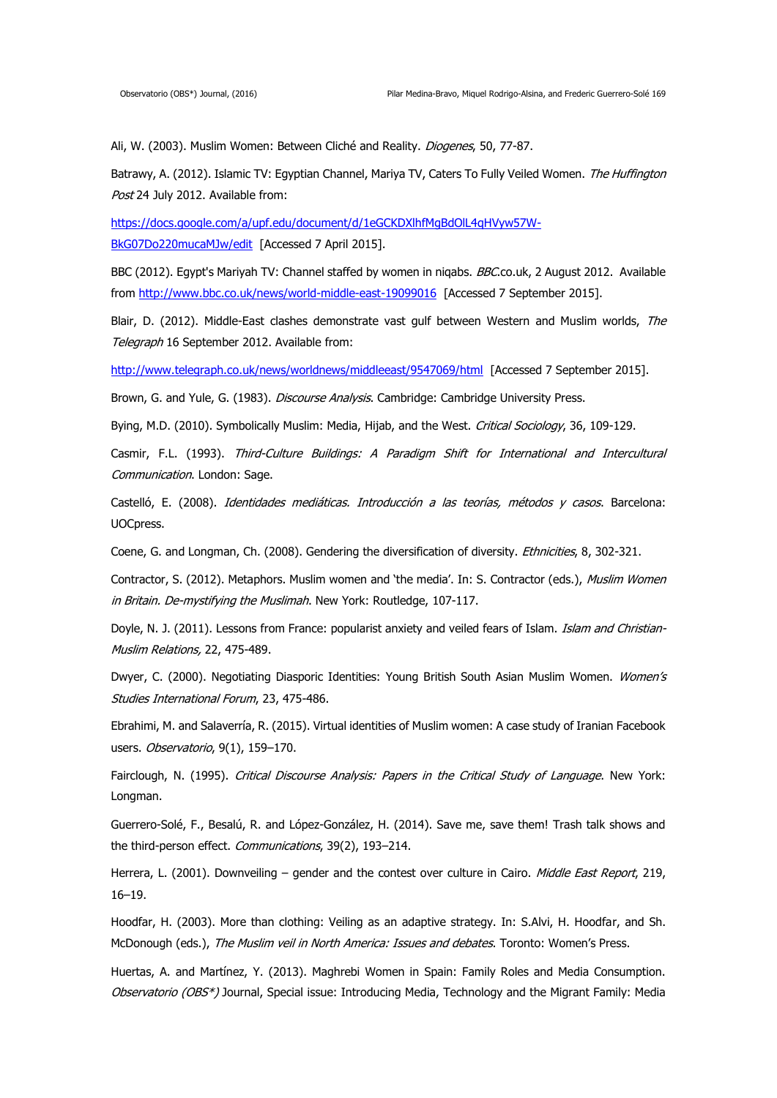Ali, W. (2003). Muslim Women: Between Cliché and Reality. Diogenes, 50, 77-87.

Batrawy, A. (2012). Islamic TV: Egyptian Channel, Mariya TV, Caters To Fully Veiled Women. The Huffington Post 24 July 2012. Available from:

[https://docs.google.com/a/upf.edu/document/d/1eGCKDXlhfMgBdOlL4qHVyw57W-](https://docs.google.com/a/upf.edu/document/d/1eGCKDXlhfMgBdOlL4qHVyw57W-BkG07Do220mucaMJw/edit)[BkG07Do220mucaMJw/edit](https://docs.google.com/a/upf.edu/document/d/1eGCKDXlhfMgBdOlL4qHVyw57W-BkG07Do220mucaMJw/edit) [Accessed 7 April 2015].

BBC (2012). Egypt's Mariyah TV: Channel staffed by women in niqabs. BBC.co.uk, 2 August 2012. Available from<http://www.bbc.co.uk/news/world-middle-east-19099016>[Accessed 7 September 2015].

Blair, D. (2012). Middle-East clashes demonstrate vast gulf between Western and Muslim worlds, The Telegraph 16 September 2012. Available from:

<http://www.telegraph.co.uk/news/worldnews/middleeast/9547069/html>[Accessed 7 September 2015].

Brown, G. and Yule, G. (1983). Discourse Analysis. Cambridge: Cambridge University Press.

Bying, M.D. (2010). Symbolically Muslim: Media, Hijab, and the West. Critical Sociology, 36, 109-129.

Casmir, F.L. (1993). Third-Culture Buildings: A Paradigm Shift for International and Intercultural Communication. London: Sage.

Castelló, E. (2008). Identidades mediáticas. Introducción a las teorías, métodos y casos. Barcelona: UOCpress.

Coene, G. and Longman, Ch. (2008). Gendering the diversification of diversity. *Ethnicities*, 8, 302-321.

Contractor, S. (2012). Metaphors. Muslim women and 'the media'. In: S. Contractor (eds.), Muslim Women in Britain. De-mystifying the Muslimah. New York: Routledge, 107-117.

Doyle, N. J. (2011). Lessons from France: popularist anxiety and veiled fears of Islam. Islam and Christian-Muslim Relations, 22, 475-489.

Dwyer, C. (2000). Negotiating Diasporic Identities: Young British South Asian Muslim Women. Women's Studies International Forum, 23, 475-486.

Ebrahimi, M. and Salaverría, R. (2015). Virtual identities of Muslim women: A case study of Iranian Facebook users. Observatorio, 9(1), 159-170.

Fairclough, N. (1995). Critical Discourse Analysis: Papers in the Critical Study of Language. New York: Longman.

Guerrero-Solé, F., Besalú, R. and López-González, H. (2014). Save me, save them! Trash talk shows and the third-person effect. Communications, 39(2), 193-214.

Herrera, L. (2001). Downveiling - gender and the contest over culture in Cairo. Middle East Report, 219, 16–19.

Hoodfar, H. (2003). More than clothing: Veiling as an adaptive strategy. In: S.Alvi, H. Hoodfar, and Sh. McDonough (eds.), The Muslim veil in North America: Issues and debates. Toronto: Women's Press.

Huertas, A. and Martínez, Y. (2013). Maghrebi Women in Spain: Family Roles and Media Consumption. Observatorio (OBS\*) Journal, Special issue: Introducing Media, Technology and the Migrant Family: Media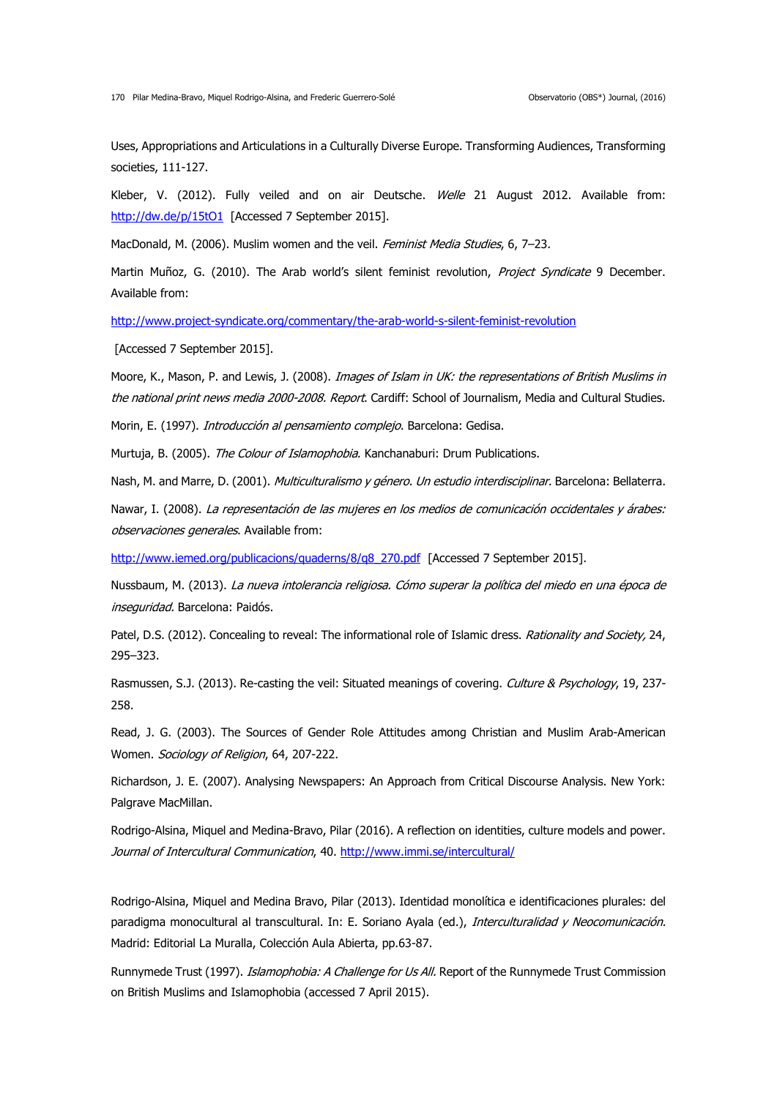Uses, Appropriations and Articulations in a Culturally Diverse Europe. Transforming Audiences, Transforming societies, 111-127.

Kleber, V. (2012). Fully veiled and on air Deutsche. Welle 21 August 2012. Available from: <http://dw.de/p/15tO1>[Accessed 7 September 2015].

MacDonald, M. (2006). Muslim women and the veil. Feminist Media Studies, 6, 7-23.

Martin Muñoz, G. (2010). The Arab world's silent feminist revolution, Project Syndicate 9 December. Available from:

<http://www.project-syndicate.org/commentary/the-arab-world-s-silent-feminist-revolution>

[Accessed 7 September 2015].

Moore, K., Mason, P. and Lewis, J. (2008). *Images of Islam in UK: the representations of British Muslims in* the national print news media 2000-2008. Report. Cardiff: School of Journalism, Media and Cultural Studies.

Morin, E. (1997). Introducción al pensamiento complejo. Barcelona: Gedisa.

Murtuja, B. (2005). The Colour of Islamophobia. Kanchanaburi: Drum Publications.

Nash, M. and Marre, D. (2001). *Multiculturalismo y género. Un estudio interdisciplinar.* Barcelona: Bellaterra.

Nawar, I. (2008). La representación de las mujeres en los medios de comunicación occidentales y árabes: observaciones generales. Available from:

[http://www.iemed.org/publicacions/quaderns/8/q8\\_270.pdf](http://www.iemed.org/publicacions/quaderns/8/q8_270.pdf) [Accessed 7 September 2015].

Nussbaum, M. (2013). La nueva intolerancia religiosa. Cómo superar la política del miedo en una época de inseguridad. Barcelona: Paidós.

Patel, D.S. (2012). Concealing to reveal: The informational role of Islamic dress. Rationality and Society, 24, 295–323.

Rasmussen, S.J. (2013). Re-casting the veil: Situated meanings of covering. Culture & Psychology, 19, 237-258.

Read, J. G. (2003). The Sources of Gender Role Attitudes among Christian and Muslim Arab-American Women. Sociology of Religion, 64, 207-222.

Richardson, J. E. (2007). Analysing Newspapers: An Approach from Critical Discourse Analysis. New York: Palgrave MacMillan.

Rodrigo-Alsina, Miquel and Medina-Bravo, Pilar (2016). A reflection on identities, culture models and power. Journal of Intercultural Communication, 40. <http://www.immi.se/intercultural/>

Rodrigo-Alsina, Miquel and Medina Bravo, Pilar (2013). Identidad monolítica e identificaciones plurales: del paradigma monocultural al transcultural. In: E. Soriano Ayala (ed.), Interculturalidad y Neocomunicación. Madrid: Editorial La Muralla, Colección Aula Abierta, pp.63-87.

Runnymede Trust (1997). *Islamophobia: A Challenge for Us All.* Report of the Runnymede Trust Commission on British Muslims and Islamophobia (accessed 7 April 2015).